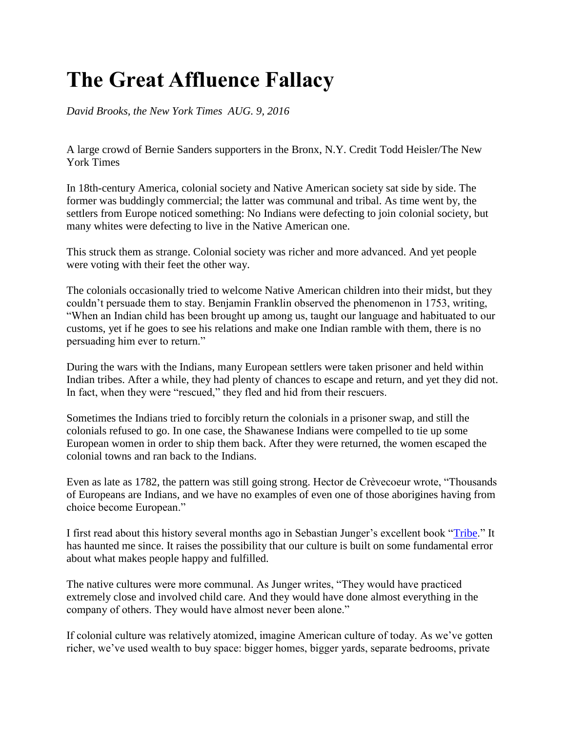## **The Great Affluence Fallacy**

*David Brooks, the New York Times AUG. 9, 2016* 

A large crowd of Bernie Sanders supporters in the Bronx, N.Y. Credit Todd Heisler/The New York Times

In 18th-century America, colonial society and Native American society sat side by side. The former was buddingly commercial; the latter was communal and tribal. As time went by, the settlers from Europe noticed something: No Indians were defecting to join colonial society, but many whites were defecting to live in the Native American one.

This struck them as strange. Colonial society was richer and more advanced. And yet people were voting with their feet the other way.

The colonials occasionally tried to welcome Native American children into their midst, but they couldn't persuade them to stay. Benjamin Franklin observed the phenomenon in 1753, writing, "When an Indian child has been brought up among us, taught our language and habituated to our customs, yet if he goes to see his relations and make one Indian ramble with them, there is no persuading him ever to return."

During the wars with the Indians, many European settlers were taken prisoner and held within Indian tribes. After a while, they had plenty of chances to escape and return, and yet they did not. In fact, when they were "rescued," they fled and hid from their rescuers.

Sometimes the Indians tried to forcibly return the colonials in a prisoner swap, and still the colonials refused to go. In one case, the Shawanese Indians were compelled to tie up some European women in order to ship them back. After they were returned, the women escaped the colonial towns and ran back to the Indians.

Even as late as 1782, the pattern was still going strong. Hector de Crèvecoeur wrote, "Thousands of Europeans are Indians, and we have no examples of even one of those aborigines having from choice become European."

I first read about this history several months ago in Sebastian Junger's excellent book ["Tribe.](https://www.hachettebookgroup.com/titles/sebastian-junger/tribe/9781455566389/)" It has haunted me since. It raises the possibility that our culture is built on some fundamental error about what makes people happy and fulfilled.

The native cultures were more communal. As Junger writes, "They would have practiced extremely close and involved child care. And they would have done almost everything in the company of others. They would have almost never been alone."

If colonial culture was relatively atomized, imagine American culture of today. As we've gotten richer, we've used wealth to buy space: bigger homes, bigger yards, separate bedrooms, private